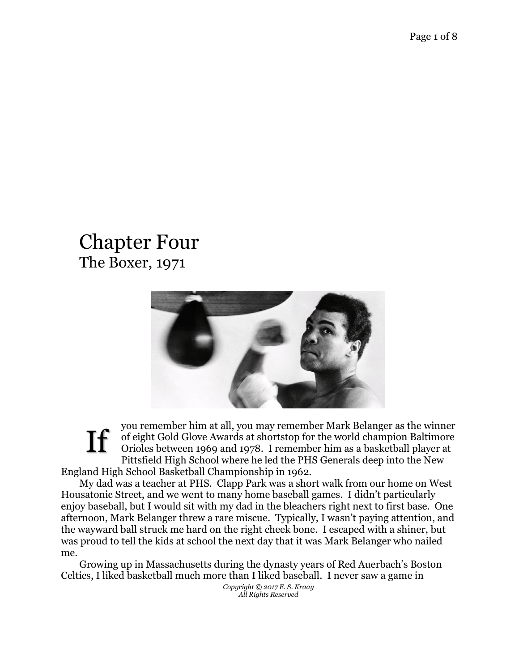## Chapter Four The Boxer, 1971



you remember him at all, you may remember Mark Belanger as the winner of eight Gold Glove Awards at shortstop for the world champion Baltimore Orioles between 1969 and 1978. I remember him as a basketball player at Pittsfield High School where he led the PHS Generals deep into the New England High School Basketball Championship in 1962. If

My dad was a teacher at PHS. Clapp Park was a short walk from our home on West Housatonic Street, and we went to many home baseball games. I didn't particularly enjoy baseball, but I would sit with my dad in the bleachers right next to first base. One afternoon, Mark Belanger threw a rare miscue. Typically, I wasn't paying attention, and the wayward ball struck me hard on the right cheek bone. I escaped with a shiner, but was proud to tell the kids at school the next day that it was Mark Belanger who nailed me.

Growing up in Massachusetts during the dynasty years of Red Auerbach's Boston Celtics, I liked basketball much more than I liked baseball. I never saw a game in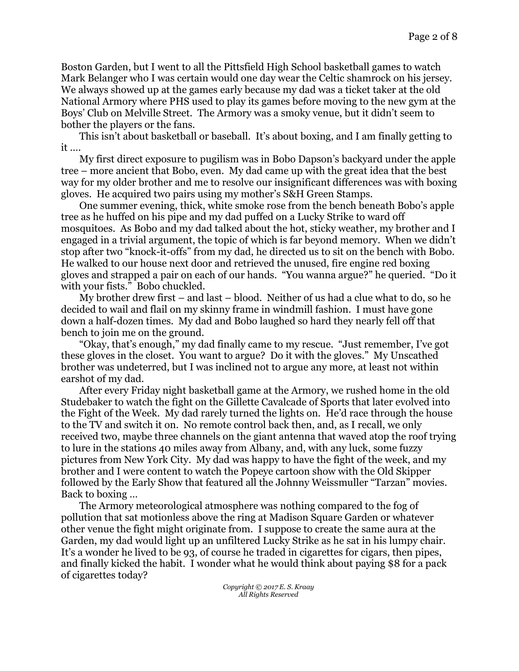Boston Garden, but I went to all the Pittsfield High School basketball games to watch Mark Belanger who I was certain would one day wear the Celtic shamrock on his jersey. We always showed up at the games early because my dad was a ticket taker at the old National Armory where PHS used to play its games before moving to the new gym at the Boys' Club on Melville Street. The Armory was a smoky venue, but it didn't seem to bother the players or the fans.

This isn't about basketball or baseball. It's about boxing, and I am finally getting to it ….

My first direct exposure to pugilism was in Bobo Dapson's backyard under the apple tree – more ancient that Bobo, even. My dad came up with the great idea that the best way for my older brother and me to resolve our insignificant differences was with boxing gloves. He acquired two pairs using my mother's S&H Green Stamps.

One summer evening, thick, white smoke rose from the bench beneath Bobo's apple tree as he huffed on his pipe and my dad puffed on a Lucky Strike to ward off mosquitoes. As Bobo and my dad talked about the hot, sticky weather, my brother and I engaged in a trivial argument, the topic of which is far beyond memory. When we didn't stop after two "knock-it-offs" from my dad, he directed us to sit on the bench with Bobo. He walked to our house next door and retrieved the unused, fire engine red boxing gloves and strapped a pair on each of our hands. "You wanna argue?" he queried. "Do it with your fists." Bobo chuckled.

My brother drew first – and last – blood. Neither of us had a clue what to do, so he decided to wail and flail on my skinny frame in windmill fashion. I must have gone down a half-dozen times. My dad and Bobo laughed so hard they nearly fell off that bench to join me on the ground.

"Okay, that's enough," my dad finally came to my rescue. "Just remember, I've got these gloves in the closet. You want to argue? Do it with the gloves." My Unscathed brother was undeterred, but I was inclined not to argue any more, at least not within earshot of my dad.

After every Friday night basketball game at the Armory, we rushed home in the old Studebaker to watch the fight on the Gillette Cavalcade of Sports that later evolved into the Fight of the Week. My dad rarely turned the lights on. He'd race through the house to the TV and switch it on. No remote control back then, and, as I recall, we only received two, maybe three channels on the giant antenna that waved atop the roof trying to lure in the stations 40 miles away from Albany, and, with any luck, some fuzzy pictures from New York City. My dad was happy to have the fight of the week, and my brother and I were content to watch the Popeye cartoon show with the Old Skipper followed by the Early Show that featured all the Johnny Weissmuller "Tarzan" movies. Back to boxing …

The Armory meteorological atmosphere was nothing compared to the fog of pollution that sat motionless above the ring at Madison Square Garden or whatever other venue the fight might originate from. I suppose to create the same aura at the Garden, my dad would light up an unfiltered Lucky Strike as he sat in his lumpy chair. It's a wonder he lived to be 93, of course he traded in cigarettes for cigars, then pipes, and finally kicked the habit. I wonder what he would think about paying \$8 for a pack of cigarettes today?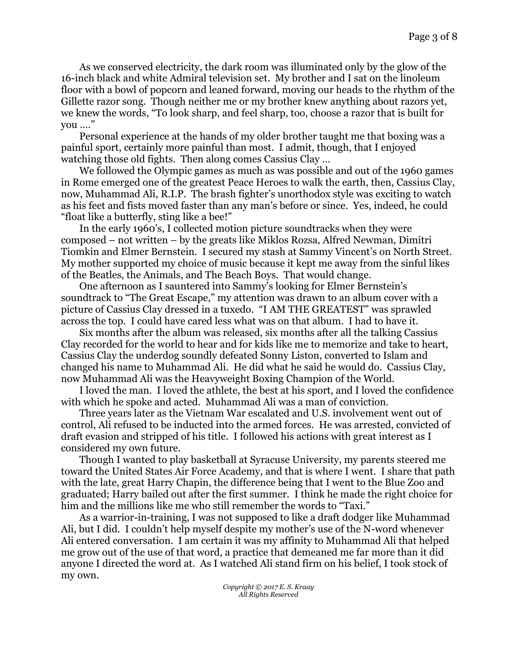As we conserved electricity, the dark room was illuminated only by the glow of the 16-inch black and white Admiral television set. My brother and I sat on the linoleum floor with a bowl of popcorn and leaned forward, moving our heads to the rhythm of the Gillette razor song. Though neither me or my brother knew anything about razors yet, we knew the words, "To look sharp, and feel sharp, too, choose a razor that is built for you …."

Personal experience at the hands of my older brother taught me that boxing was a painful sport, certainly more painful than most. I admit, though, that I enjoyed watching those old fights. Then along comes Cassius Clay …

We followed the Olympic games as much as was possible and out of the 1960 games in Rome emerged one of the greatest Peace Heroes to walk the earth, then, Cassius Clay, now, Muhammad Ali, R.I.P. The brash fighter's unorthodox style was exciting to watch as his feet and fists moved faster than any man's before or since. Yes, indeed, he could "float like a butterfly, sting like a bee!"

In the early 1960's, I collected motion picture soundtracks when they were composed – not written – by the greats like Miklos Rozsa, Alfred Newman, Dimitri Tiomkin and Elmer Bernstein. I secured my stash at Sammy Vincent's on North Street. My mother supported my choice of music because it kept me away from the sinful likes of the Beatles, the Animals, and The Beach Boys. That would change.

One afternoon as I sauntered into Sammy's looking for Elmer Bernstein's soundtrack to "The Great Escape," my attention was drawn to an album cover with a picture of Cassius Clay dressed in a tuxedo. "I AM THE GREATEST" was sprawled across the top. I could have cared less what was on that album. I had to have it.

Six months after the album was released, six months after all the talking Cassius Clay recorded for the world to hear and for kids like me to memorize and take to heart, Cassius Clay the underdog soundly defeated Sonny Liston, converted to Islam and changed his name to Muhammad Ali. He did what he said he would do. Cassius Clay, now Muhammad Ali was the Heavyweight Boxing Champion of the World.

I loved the man. I loved the athlete, the best at his sport, and I loved the confidence with which he spoke and acted. Muhammad Ali was a man of conviction.

Three years later as the Vietnam War escalated and U.S. involvement went out of control, Ali refused to be inducted into the armed forces. He was arrested, convicted of draft evasion and stripped of his title. I followed his actions with great interest as I considered my own future.

Though I wanted to play basketball at Syracuse University, my parents steered me toward the United States Air Force Academy, and that is where I went. I share that path with the late, great Harry Chapin, the difference being that I went to the Blue Zoo and graduated; Harry bailed out after the first summer. I think he made the right choice for him and the millions like me who still remember the words to "Taxi."

As a warrior-in-training, I was not supposed to like a draft dodger like Muhammad Ali, but I did. I couldn't help myself despite my mother's use of the N-word whenever Ali entered conversation. I am certain it was my affinity to Muhammad Ali that helped me grow out of the use of that word, a practice that demeaned me far more than it did anyone I directed the word at. As I watched Ali stand firm on his belief, I took stock of my own.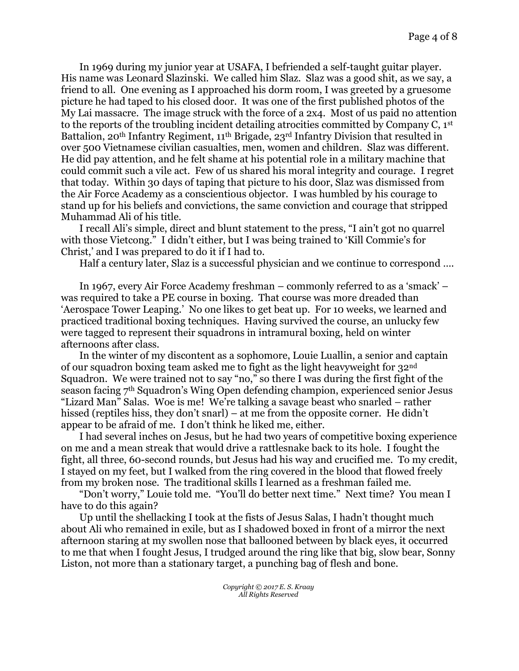In 1969 during my junior year at USAFA, I befriended a self-taught guitar player. His name was Leonard Slazinski. We called him Slaz. Slaz was a good shit, as we say, a friend to all. One evening as I approached his dorm room, I was greeted by a gruesome picture he had taped to his closed door. It was one of the first published photos of the My Lai massacre. The image struck with the force of a 2x4. Most of us paid no attention to the reports of the troubling incident detailing atrocities committed by Company C, 1st Battalion, 20<sup>th</sup> Infantry Regiment, 11<sup>th</sup> Brigade, 23<sup>rd</sup> Infantry Division that resulted in over 500 Vietnamese civilian casualties, men, women and children. Slaz was different. He did pay attention, and he felt shame at his potential role in a military machine that could commit such a vile act. Few of us shared his moral integrity and courage. I regret that today. Within 30 days of taping that picture to his door, Slaz was dismissed from the Air Force Academy as a conscientious objector. I was humbled by his courage to stand up for his beliefs and convictions, the same conviction and courage that stripped Muhammad Ali of his title.

I recall Ali's simple, direct and blunt statement to the press, "I ain't got no quarrel with those Vietcong." I didn't either, but I was being trained to 'Kill Commie's for Christ,' and I was prepared to do it if I had to.

Half a century later, Slaz is a successful physician and we continue to correspond ….

In 1967, every Air Force Academy freshman – commonly referred to as a 'smack' – was required to take a PE course in boxing. That course was more dreaded than 'Aerospace Tower Leaping.' No one likes to get beat up. For 10 weeks, we learned and practiced traditional boxing techniques. Having survived the course, an unlucky few were tagged to represent their squadrons in intramural boxing, held on winter afternoons after class.

In the winter of my discontent as a sophomore, Louie Luallin, a senior and captain of our squadron boxing team asked me to fight as the light heavyweight for 32nd Squadron. We were trained not to say "no," so there I was during the first fight of the season facing  $7<sup>th</sup>$  Squadron's Wing Open defending champion, experienced senior Jesus "Lizard Man" Salas. Woe is me! We're talking a savage beast who snarled – rather hissed (reptiles hiss, they don't snarl) – at me from the opposite corner. He didn't appear to be afraid of me. I don't think he liked me, either.

I had several inches on Jesus, but he had two years of competitive boxing experience on me and a mean streak that would drive a rattlesnake back to its hole. I fought the fight, all three, 60-second rounds, but Jesus had his way and crucified me. To my credit, I stayed on my feet, but I walked from the ring covered in the blood that flowed freely from my broken nose. The traditional skills I learned as a freshman failed me.

"Don't worry," Louie told me. "You'll do better next time." Next time? You mean I have to do this again?

Up until the shellacking I took at the fists of Jesus Salas, I hadn't thought much about Ali who remained in exile, but as I shadowed boxed in front of a mirror the next afternoon staring at my swollen nose that ballooned between by black eyes, it occurred to me that when I fought Jesus, I trudged around the ring like that big, slow bear, Sonny Liston, not more than a stationary target, a punching bag of flesh and bone.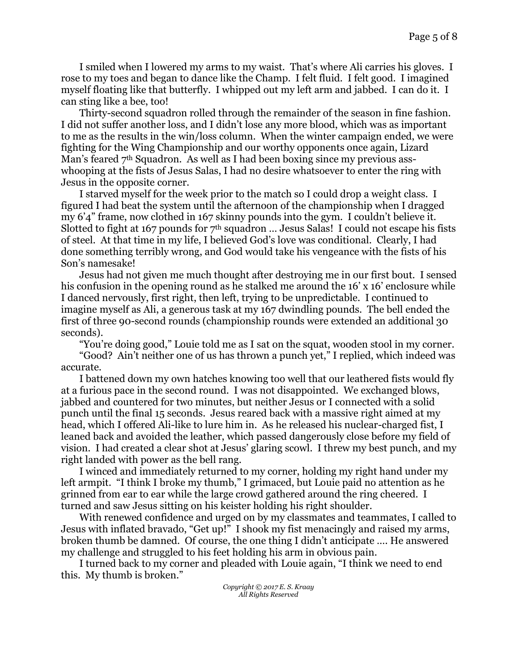I smiled when I lowered my arms to my waist. That's where Ali carries his gloves. I rose to my toes and began to dance like the Champ. I felt fluid. I felt good. I imagined myself floating like that butterfly. I whipped out my left arm and jabbed. I can do it. I can sting like a bee, too!

Thirty-second squadron rolled through the remainder of the season in fine fashion. I did not suffer another loss, and I didn't lose any more blood, which was as important to me as the results in the win/loss column. When the winter campaign ended, we were fighting for the Wing Championship and our worthy opponents once again, Lizard Man's feared 7<sup>th</sup> Squadron. As well as I had been boxing since my previous asswhooping at the fists of Jesus Salas, I had no desire whatsoever to enter the ring with Jesus in the opposite corner.

I starved myself for the week prior to the match so I could drop a weight class. I figured I had beat the system until the afternoon of the championship when I dragged my 6'4" frame, now clothed in 167 skinny pounds into the gym. I couldn't believe it. Slotted to fight at 167 pounds for  $7<sup>th</sup>$  squadron ... Jesus Salas! I could not escape his fists of steel. At that time in my life, I believed God's love was conditional. Clearly, I had done something terribly wrong, and God would take his vengeance with the fists of his Son's namesake!

Jesus had not given me much thought after destroying me in our first bout. I sensed his confusion in the opening round as he stalked me around the 16' x 16' enclosure while I danced nervously, first right, then left, trying to be unpredictable. I continued to imagine myself as Ali, a generous task at my 167 dwindling pounds. The bell ended the first of three 90-second rounds (championship rounds were extended an additional 30 seconds).

"You're doing good," Louie told me as I sat on the squat, wooden stool in my corner.

"Good? Ain't neither one of us has thrown a punch yet," I replied, which indeed was accurate.

I battened down my own hatches knowing too well that our leathered fists would fly at a furious pace in the second round. I was not disappointed. We exchanged blows, jabbed and countered for two minutes, but neither Jesus or I connected with a solid punch until the final 15 seconds. Jesus reared back with a massive right aimed at my head, which I offered Ali-like to lure him in. As he released his nuclear-charged fist, I leaned back and avoided the leather, which passed dangerously close before my field of vision. I had created a clear shot at Jesus' glaring scowl. I threw my best punch, and my right landed with power as the bell rang.

I winced and immediately returned to my corner, holding my right hand under my left armpit. "I think I broke my thumb," I grimaced, but Louie paid no attention as he grinned from ear to ear while the large crowd gathered around the ring cheered. I turned and saw Jesus sitting on his keister holding his right shoulder.

With renewed confidence and urged on by my classmates and teammates, I called to Jesus with inflated bravado, "Get up!" I shook my fist menacingly and raised my arms, broken thumb be damned. Of course, the one thing I didn't anticipate …. He answered my challenge and struggled to his feet holding his arm in obvious pain.

I turned back to my corner and pleaded with Louie again, "I think we need to end this. My thumb is broken."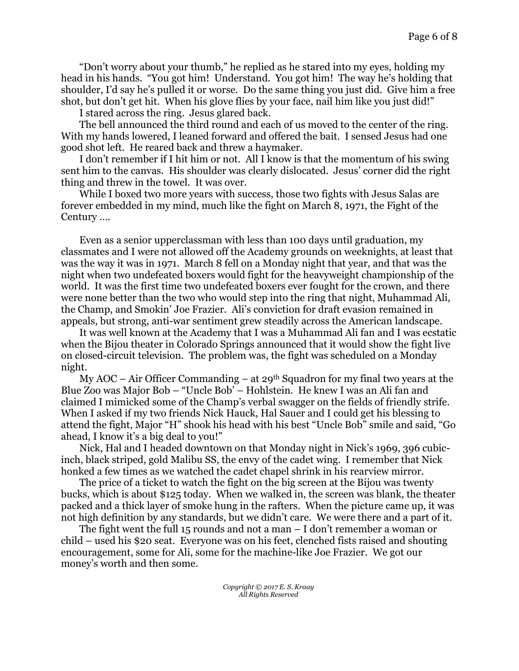"Don't worry about your thumb," he replied as he stared into my eyes, holding my head in his hands. "You got him! Understand. You got him! The way he's holding that shoulder, I'd say he's pulled it or worse. Do the same thing you just did. Give him a free shot, but don't get hit. When his glove flies by your face, nail him like you just did!"

I stared across the ring. Jesus glared back.

The bell announced the third round and each of us moved to the center of the ring. With my hands lowered, I leaned forward and offered the bait. I sensed Jesus had one good shot left. He reared back and threw a haymaker.

I don't remember if I hit him or not. All I know is that the momentum of his swing sent him to the canvas. His shoulder was clearly dislocated. Jesus' corner did the right thing and threw in the towel. It was over.

While I boxed two more years with success, those two fights with Jesus Salas are forever embedded in my mind, much like the fight on March 8, 1971, the Fight of the Century ….

Even as a senior upperclassman with less than 100 days until graduation, my classmates and I were not allowed off the Academy grounds on weeknights, at least that was the way it was in 1971. March 8 fell on a Monday night that year, and that was the night when two undefeated boxers would fight for the heavyweight championship of the world. It was the first time two undefeated boxers ever fought for the crown, and there were none better than the two who would step into the ring that night, Muhammad Ali, the Champ, and Smokin' Joe Frazier. Ali's conviction for draft evasion remained in appeals, but strong, anti-war sentiment grew steadily across the American landscape.

It was well known at the Academy that I was a Muhammad Ali fan and I was ecstatic when the Bijou theater in Colorado Springs announced that it would show the fight live on closed-circuit television. The problem was, the fight was scheduled on a Monday night.

My AOC – Air Officer Commanding – at 29<sup>th</sup> Squadron for my final two years at the Blue Zoo was Major Bob – "Uncle Bob' – Hohlstein. He knew I was an Ali fan and claimed I mimicked some of the Champ's verbal swagger on the fields of friendly strife. When I asked if my two friends Nick Hauck, Hal Sauer and I could get his blessing to attend the fight, Major "H" shook his head with his best "Uncle Bob" smile and said, "Go ahead, I know it's a big deal to you!"

Nick, Hal and I headed downtown on that Monday night in Nick's 1969, 396 cubicinch, black striped, gold Malibu SS, the envy of the cadet wing. I remember that Nick honked a few times as we watched the cadet chapel shrink in his rearview mirror.

The price of a ticket to watch the fight on the big screen at the Bijou was twenty bucks, which is about \$125 today. When we walked in, the screen was blank, the theater packed and a thick layer of smoke hung in the rafters. When the picture came up, it was not high definition by any standards, but we didn't care. We were there and a part of it.

The fight went the full 15 rounds and not a man  $-$  I don't remember a woman or child – used his \$20 seat. Everyone was on his feet, clenched fists raised and shouting encouragement, some for Ali, some for the machine-like Joe Frazier. We got our money's worth and then some.